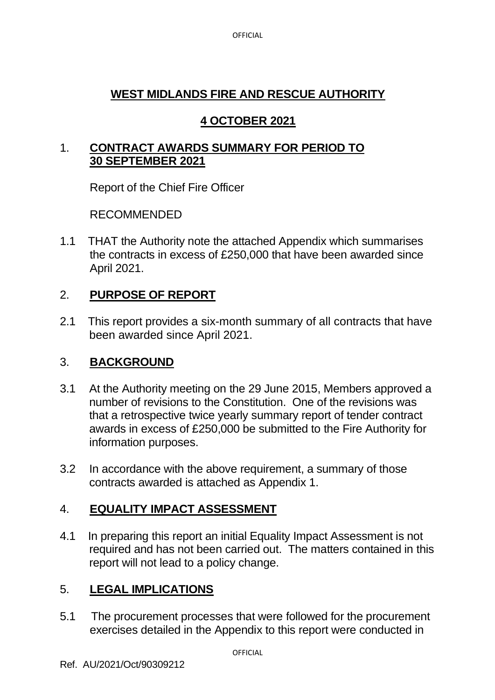**OFFICIAL** 

## **WEST MIDLANDS FIRE AND RESCUE AUTHORITY**

# **4 OCTOBER 2021**

### 1. **CONTRACT AWARDS SUMMARY FOR PERIOD TO 30 SEPTEMBER 2021**

Report of the Chief Fire Officer

RECOMMENDED

1.1 THAT the Authority note the attached Appendix which summarises the contracts in excess of £250,000 that have been awarded since April 2021.

# 2. **PURPOSE OF REPORT**

2.1 This report provides a six-month summary of all contracts that have been awarded since April 2021.

## 3. **BACKGROUND**

- 3.1 At the Authority meeting on the 29 June 2015, Members approved a number of revisions to the Constitution. One of the revisions was that a retrospective twice yearly summary report of tender contract awards in excess of £250,000 be submitted to the Fire Authority for information purposes.
- 3.2 In accordance with the above requirement, a summary of those contracts awarded is attached as Appendix 1.

# 4. **EQUALITY IMPACT ASSESSMENT**

4.1 In preparing this report an initial Equality Impact Assessment is not required and has not been carried out. The matters contained in this report will not lead to a policy change.

# 5. **LEGAL IMPLICATIONS**

5.1 The procurement processes that were followed for the procurement exercises detailed in the Appendix to this report were conducted in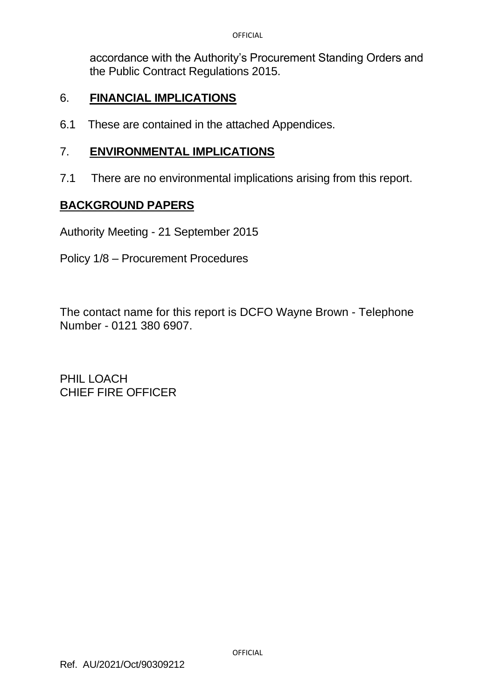accordance with the Authority's Procurement Standing Orders and the Public Contract Regulations 2015.

#### 6. **FINANCIAL IMPLICATIONS**

6.1 These are contained in the attached Appendices.

#### 7. **ENVIRONMENTAL IMPLICATIONS**

7.1 There are no environmental implications arising from this report.

#### **BACKGROUND PAPERS**

Authority Meeting - 21 September 2015

Policy 1/8 – Procurement Procedures

The contact name for this report is DCFO Wayne Brown - Telephone Number - 0121 380 6907.

PHIL LOACH CHIEF FIRE OFFICER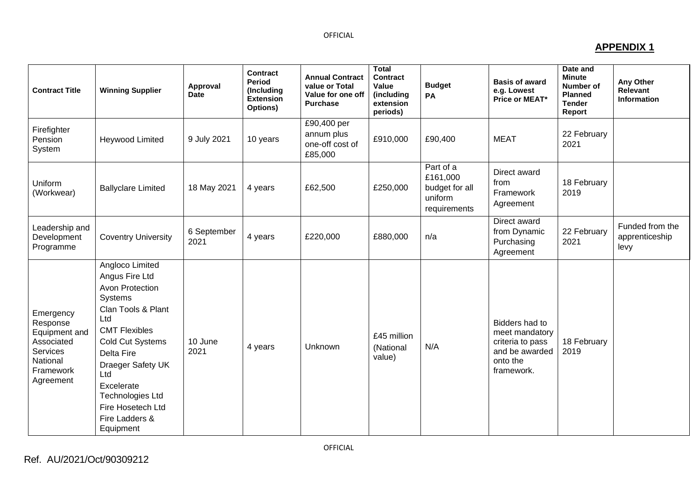#### OFFICIAL

#### **APPENDIX 1**

| <b>Contract Title</b>                                                                                  | <b>Winning Supplier</b>                                                                                                                                                                                                                                                         | Approval<br><b>Date</b> | Contract<br>Period<br>(Including<br><b>Extension</b><br>Options) | <b>Annual Contract</b><br>value or Total<br>Value for one off<br><b>Purchase</b> | <b>Total</b><br><b>Contract</b><br>Value<br>(including<br>extension<br>periods) | <b>Budget</b><br>PA                                                | <b>Basis of award</b><br>e.g. Lowest<br>Price or MEAT*                                           | Date and<br><b>Minute</b><br>Number of<br><b>Planned</b><br><b>Tender</b><br>Report | <b>Any Other</b><br>Relevant<br><b>Information</b> |
|--------------------------------------------------------------------------------------------------------|---------------------------------------------------------------------------------------------------------------------------------------------------------------------------------------------------------------------------------------------------------------------------------|-------------------------|------------------------------------------------------------------|----------------------------------------------------------------------------------|---------------------------------------------------------------------------------|--------------------------------------------------------------------|--------------------------------------------------------------------------------------------------|-------------------------------------------------------------------------------------|----------------------------------------------------|
| Firefighter<br>Pension<br>System                                                                       | Heywood Limited                                                                                                                                                                                                                                                                 | 9 July 2021             | 10 years                                                         | £90,400 per<br>annum plus<br>one-off cost of<br>£85,000                          | £910,000                                                                        | £90,400                                                            | <b>MEAT</b>                                                                                      | 22 February<br>2021                                                                 |                                                    |
| Uniform<br>(Workwear)                                                                                  | <b>Ballyclare Limited</b>                                                                                                                                                                                                                                                       | 18 May 2021             | 4 years                                                          | £62,500                                                                          | £250,000                                                                        | Part of a<br>£161,000<br>budget for all<br>uniform<br>requirements | Direct award<br>from<br>Framework<br>Agreement                                                   | 18 February<br>2019                                                                 |                                                    |
| Leadership and<br>Development<br>Programme                                                             | <b>Coventry University</b>                                                                                                                                                                                                                                                      | 6 September<br>2021     | 4 years                                                          | £220,000                                                                         | £880,000                                                                        | n/a                                                                | Direct award<br>from Dynamic<br>Purchasing<br>Agreement                                          | 22 February<br>2021                                                                 | Funded from the<br>apprenticeship<br>levy          |
| Emergency<br>Response<br>Equipment and<br>Associated<br>Services<br>National<br>Framework<br>Agreement | Angloco Limited<br>Angus Fire Ltd<br>Avon Protection<br>Systems<br>Clan Tools & Plant<br>Ltd<br><b>CMT Flexibles</b><br>Cold Cut Systems<br>Delta Fire<br>Draeger Safety UK<br>Ltd<br>Excelerate<br><b>Technologies Ltd</b><br>Fire Hosetech Ltd<br>Fire Ladders &<br>Equipment | 10 June<br>2021         | 4 years                                                          | Unknown                                                                          | £45 million<br>(National<br>value)                                              | N/A                                                                | Bidders had to<br>meet mandatory<br>criteria to pass<br>and be awarded<br>onto the<br>framework. | 18 February<br>2019                                                                 |                                                    |